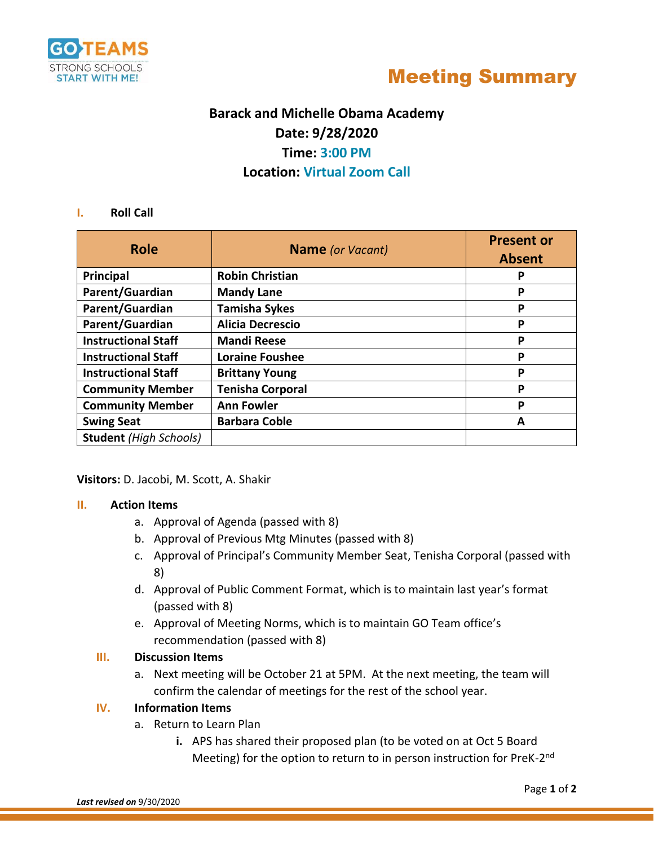



# **Barack and Michelle Obama Academy Date: 9/28/2020 Time: 3:00 PM Location: Virtual Zoom Call**

#### **I. Roll Call**

| <b>Role</b>                   | <b>Name</b> (or Vacant) | <b>Present or</b><br><b>Absent</b> |
|-------------------------------|-------------------------|------------------------------------|
| Principal                     | <b>Robin Christian</b>  | P                                  |
| Parent/Guardian               | <b>Mandy Lane</b>       | P                                  |
| Parent/Guardian               | <b>Tamisha Sykes</b>    | P                                  |
| Parent/Guardian               | <b>Alicia Decrescio</b> | P                                  |
| <b>Instructional Staff</b>    | <b>Mandi Reese</b>      | Ρ                                  |
| <b>Instructional Staff</b>    | <b>Loraine Foushee</b>  | P                                  |
| <b>Instructional Staff</b>    | <b>Brittany Young</b>   | P                                  |
| <b>Community Member</b>       | <b>Tenisha Corporal</b> | P                                  |
| <b>Community Member</b>       | <b>Ann Fowler</b>       | P                                  |
| <b>Swing Seat</b>             | <b>Barbara Coble</b>    | А                                  |
| <b>Student</b> (High Schools) |                         |                                    |

**Visitors:** D. Jacobi, M. Scott, A. Shakir

#### **II. Action Items**

- a. Approval of Agenda (passed with 8)
- b. Approval of Previous Mtg Minutes (passed with 8)
- c. Approval of Principal's Community Member Seat, Tenisha Corporal (passed with 8)
- d. Approval of Public Comment Format, which is to maintain last year's format (passed with 8)
- e. Approval of Meeting Norms, which is to maintain GO Team office's recommendation (passed with 8)

#### **III. Discussion Items**

a. Next meeting will be October 21 at 5PM. At the next meeting, the team will confirm the calendar of meetings for the rest of the school year.

## **IV. Information Items**

- a. Return to Learn Plan
	- **i.** APS has shared their proposed plan (to be voted on at Oct 5 Board Meeting) for the option to return to in person instruction for PreK-2<sup>nd</sup>